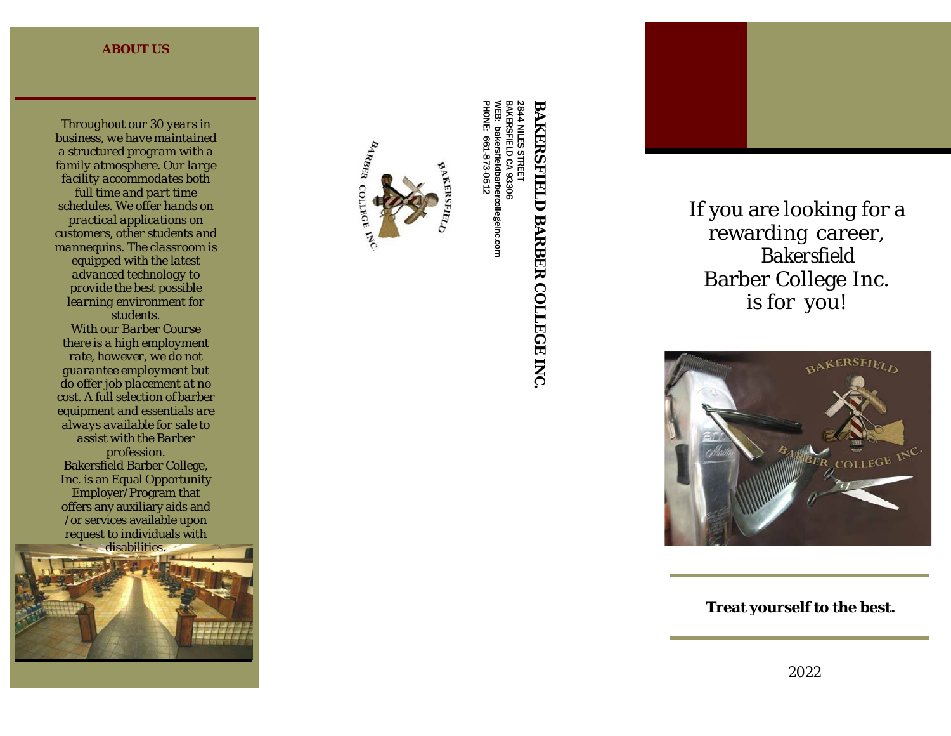#### **ABOUT US**

*Throughout our 30 years in business, we have maintained a structured program with a family atmosphere. Our large facility accommodates both full time and part time schedules. We offer hands on practical applications on customers, other students and mannequins. The classroom is equipped with the latest advanced technology to provide the best possible learning environment for students. With our Barber Course there is a high employment rate, however, we do not guarantee employment but do offer job placement at no cost. A full selection of barber equipment and essentials are always available for sale to assist with the Barber profession.* Bakersfield Barber College, Inc. is an Equal Opportunity Employer/Program that offers any auxiliary aids and /or services available upon request to individuals with disabilities.





PHONE: NILES<br>S bakersfieldbarbercollegeinc.com bakersfieldbarbercollegeinc.com 661-873-0512 661-873-0512STREET ይ 93306

# **BAKERSFIELD BARBER COLLEGE BAKERSFIELD BARBER COLLEGE INC.**

2844 BAKERSFIELD ≫<br>ק

If you are looking for a rewarding career, *Bakersfield* Barber College Inc. is for you!



**Treat yourself to the best.**

2022